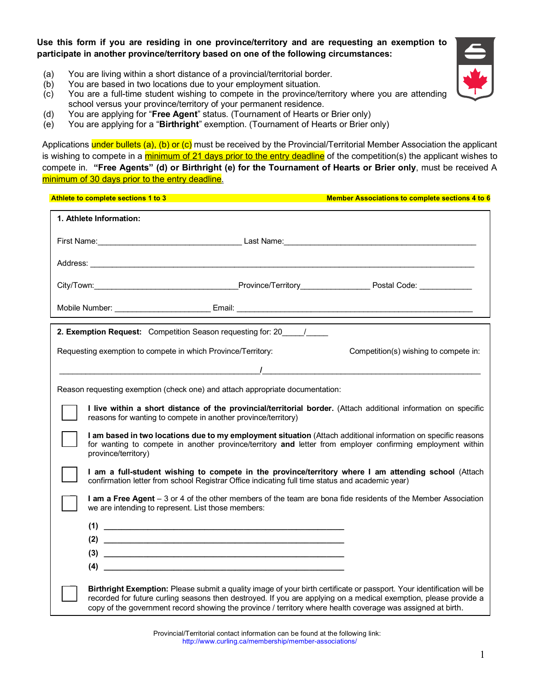**Use this form if you are residing in one province/territory and are requesting an exemption to participate in another province/territory based on one of the following circumstances:**

- (a) You are living within a short distance of a provincial/territorial border.
- (b) You are based in two locations due to your employment situation.
- (c) You are a full-time student wishing to compete in the province/territory where you are attending school versus your province/territory of your permanent residence.
- (d) You are applying for "**Free Agent**" status. (Tournament of Hearts or Brier only)
- (e) You are applying for a "**Birthright**" exemption. (Tournament of Hearts or Brier only)

Applications under bullets (a), (b) or (c) must be received by the Provincial/Territorial Member Association the applicant is wishing to compete in a minimum of 21 days prior to the entry deadline of the competition(s) the applicant wishes to compete in. **"Free Agents" (d) or Birthright (e) for the Tournament of Hearts or Brier only**, must be received A minimum of 30 days prior to the entry deadline.

|                                                                               | Athlete to complete sections 1 to 3                                                                                                                                                                                                                                                                                                                       | <b>Member Associations to complete sections 4 to 6</b> |  |  |
|-------------------------------------------------------------------------------|-----------------------------------------------------------------------------------------------------------------------------------------------------------------------------------------------------------------------------------------------------------------------------------------------------------------------------------------------------------|--------------------------------------------------------|--|--|
|                                                                               | 1. Athlete Information:                                                                                                                                                                                                                                                                                                                                   |                                                        |  |  |
|                                                                               |                                                                                                                                                                                                                                                                                                                                                           |                                                        |  |  |
|                                                                               | Address: <u>New York: Address: New York: New York: New York: New York: New York: New York: New York: New York: New York: New York: New York: New York: New York: New York: New York: New York: New York: New York: New York: New</u>                                                                                                                      |                                                        |  |  |
|                                                                               |                                                                                                                                                                                                                                                                                                                                                           |                                                        |  |  |
|                                                                               |                                                                                                                                                                                                                                                                                                                                                           |                                                        |  |  |
| 2. Exemption Request: Competition Season requesting for: 20 /                 |                                                                                                                                                                                                                                                                                                                                                           |                                                        |  |  |
|                                                                               | Requesting exemption to compete in which Province/Territory:                                                                                                                                                                                                                                                                                              | Competition(s) wishing to compete in:                  |  |  |
|                                                                               | <u> 1 — 2000 — 2000 — 2000 — 2000 — 2000 — 2000 — 2000 — 2000 — 2000 — 2000 — 2000 — 2000 — 2000 — 2000 — 2000 —</u>                                                                                                                                                                                                                                      |                                                        |  |  |
| Reason requesting exemption (check one) and attach appropriate documentation: |                                                                                                                                                                                                                                                                                                                                                           |                                                        |  |  |
|                                                                               | I live within a short distance of the provincial/territorial border. (Attach additional information on specific<br>reasons for wanting to compete in another province/territory)                                                                                                                                                                          |                                                        |  |  |
|                                                                               | I am based in two locations due to my employment situation (Attach additional information on specific reasons<br>for wanting to compete in another province/territory and letter from employer confirming employment within<br>province/territory)                                                                                                        |                                                        |  |  |
|                                                                               | I am a full-student wishing to compete in the province/territory where I am attending school (Attach<br>confirmation letter from school Registrar Office indicating full time status and academic year)                                                                                                                                                   |                                                        |  |  |
|                                                                               | I am a Free Agent - 3 or 4 of the other members of the team are bona fide residents of the Member Association<br>we are intending to represent. List those members:                                                                                                                                                                                       |                                                        |  |  |
|                                                                               |                                                                                                                                                                                                                                                                                                                                                           |                                                        |  |  |
|                                                                               |                                                                                                                                                                                                                                                                                                                                                           |                                                        |  |  |
|                                                                               |                                                                                                                                                                                                                                                                                                                                                           |                                                        |  |  |
|                                                                               | (4)                                                                                                                                                                                                                                                                                                                                                       |                                                        |  |  |
|                                                                               | Birthright Exemption: Please submit a quality image of your birth certificate or passport. Your identification will be<br>recorded for future curling seasons then destroyed. If you are applying on a medical exemption, please provide a<br>copy of the government record showing the province / territory where health coverage was assigned at birth. |                                                        |  |  |

Provincial/Territorial contact information can be found at the following link: http://www.curling.ca/membership/member-associations/



1